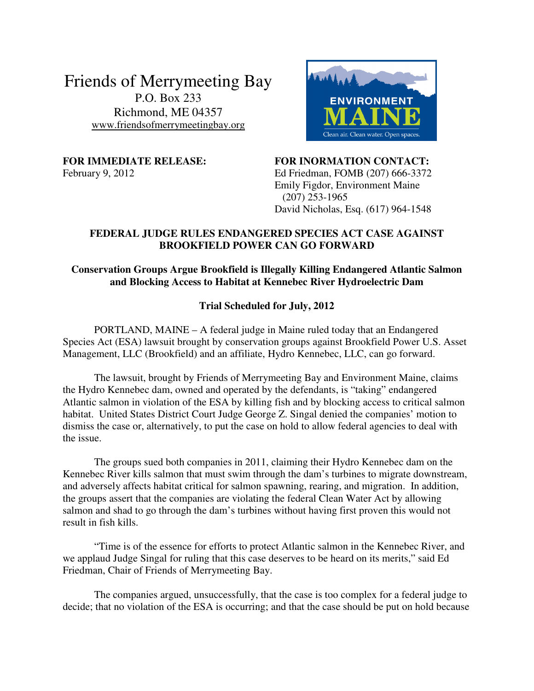Friends of Merrymeeting Bay P.O. Box 233 Richmond, ME 04357 www.friendsofmerrymeetingbay.org



**FOR IMMEDIATE RELEASE: FOR INORMATION CONTACT:**  February 9, 2012 Ed Friedman, FOMB (207) 666-3372 Emily Figdor, Environment Maine (207) 253-1965 David Nicholas, Esq. (617) 964-1548

## **FEDERAL JUDGE RULES ENDANGERED SPECIES ACT CASE AGAINST BROOKFIELD POWER CAN GO FORWARD**

## **Conservation Groups Argue Brookfield is Illegally Killing Endangered Atlantic Salmon and Blocking Access to Habitat at Kennebec River Hydroelectric Dam**

## **Trial Scheduled for July, 2012**

PORTLAND, MAINE – A federal judge in Maine ruled today that an Endangered Species Act (ESA) lawsuit brought by conservation groups against Brookfield Power U.S. Asset Management, LLC (Brookfield) and an affiliate, Hydro Kennebec, LLC, can go forward.

The lawsuit, brought by Friends of Merrymeeting Bay and Environment Maine, claims the Hydro Kennebec dam, owned and operated by the defendants, is "taking" endangered Atlantic salmon in violation of the ESA by killing fish and by blocking access to critical salmon habitat. United States District Court Judge George Z. Singal denied the companies' motion to dismiss the case or, alternatively, to put the case on hold to allow federal agencies to deal with the issue.

 The groups sued both companies in 2011, claiming their Hydro Kennebec dam on the Kennebec River kills salmon that must swim through the dam's turbines to migrate downstream, and adversely affects habitat critical for salmon spawning, rearing, and migration. In addition, the groups assert that the companies are violating the federal Clean Water Act by allowing salmon and shad to go through the dam's turbines without having first proven this would not result in fish kills.

 "Time is of the essence for efforts to protect Atlantic salmon in the Kennebec River, and we applaud Judge Singal for ruling that this case deserves to be heard on its merits," said Ed Friedman, Chair of Friends of Merrymeeting Bay.

 The companies argued, unsuccessfully, that the case is too complex for a federal judge to decide; that no violation of the ESA is occurring; and that the case should be put on hold because